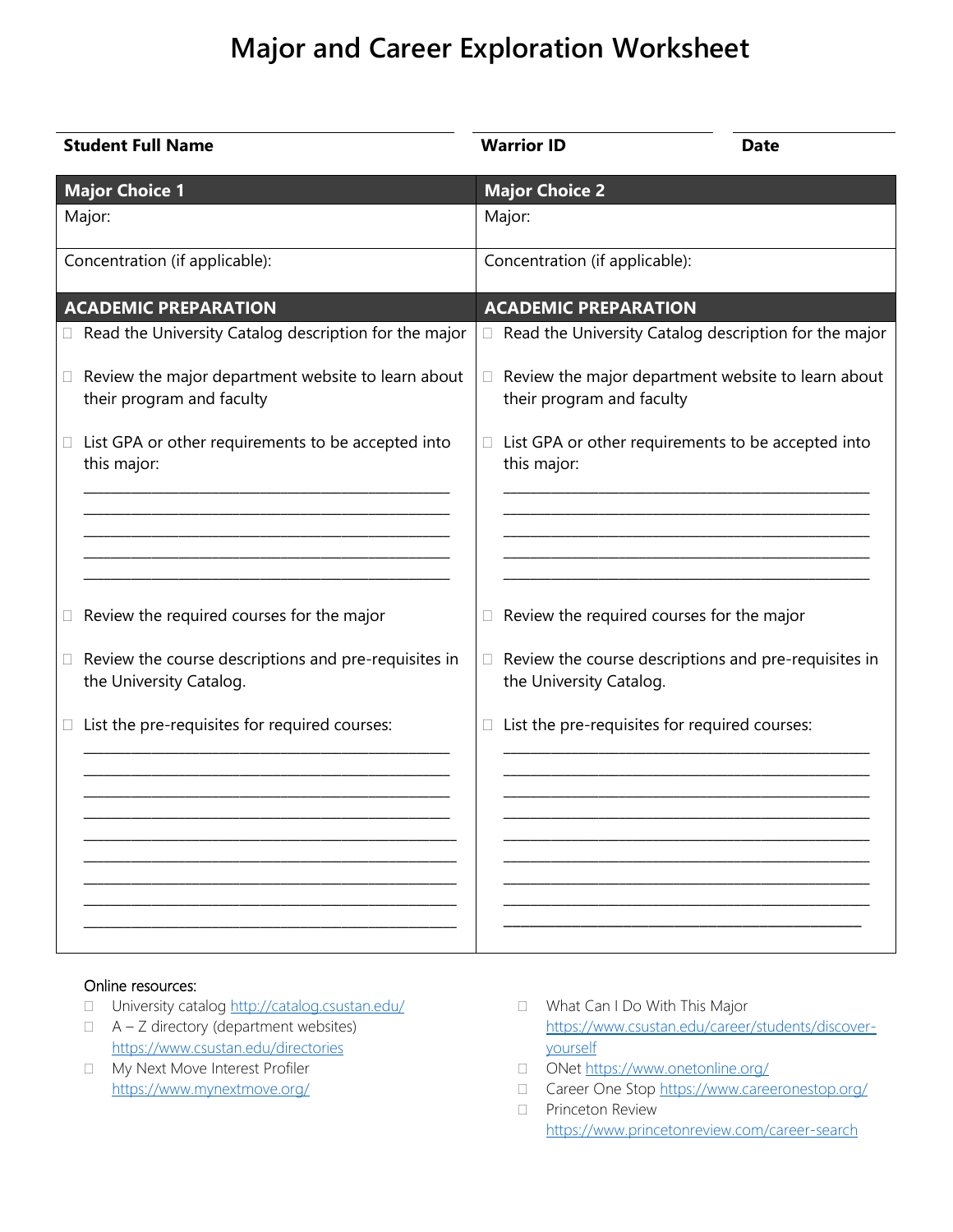## **Major and Career Exploration Worksheet**

| <b>Student Full Name</b>                                                                  | <b>Warrior ID</b> |                                | <b>Date</b>                                           |
|-------------------------------------------------------------------------------------------|-------------------|--------------------------------|-------------------------------------------------------|
| <b>Major Choice 1</b><br>Major:                                                           | Major:            | <b>Major Choice 2</b>          |                                                       |
| Concentration (if applicable):                                                            |                   | Concentration (if applicable): |                                                       |
| <b>ACADEMIC PREPARATION</b>                                                               |                   | <b>ACADEMIC PREPARATION</b>    |                                                       |
| Read the University Catalog description for the major<br>U.                               | $\Box$            |                                | Read the University Catalog description for the major |
| Review the major department website to learn about<br>U.<br>their program and faculty     | Ω.                | their program and faculty      | Review the major department website to learn about    |
| List GPA or other requirements to be accepted into<br>□<br>this major:                    | П.<br>this major: |                                | List GPA or other requirements to be accepted into    |
|                                                                                           |                   |                                |                                                       |
|                                                                                           |                   |                                |                                                       |
| Review the required courses for the major<br>$\Box$                                       | Ω.                |                                | Review the required courses for the major             |
| Review the course descriptions and pre-requisites in<br>$\Box$<br>the University Catalog. | Ω.                | the University Catalog.        | Review the course descriptions and pre-requisites in  |
| List the pre-requisites for required courses:<br>U.                                       | □                 |                                | List the pre-requisites for required courses:         |
|                                                                                           |                   |                                |                                                       |
|                                                                                           |                   |                                |                                                       |
|                                                                                           |                   |                                |                                                       |
|                                                                                           |                   |                                |                                                       |

## Online resources:

- □ University catalog<http://catalog.csustan.edu/>
- $\Box$  A Z directory (department websites) <https://www.csustan.edu/directories>
- My Next Move Interest Profiler <https://www.mynextmove.org/>
- □ What Can I Do With This Major [https://www.csustan.edu/career/students/discover](https://www.csustan.edu/career/students/discover-yourself)[yourself](https://www.csustan.edu/career/students/discover-yourself)
- □ ONet<https://www.onetonline.org/>
- □ Career One Stop<https://www.careeronestop.org/>
- **Princeton Review** <https://www.princetonreview.com/career-search>